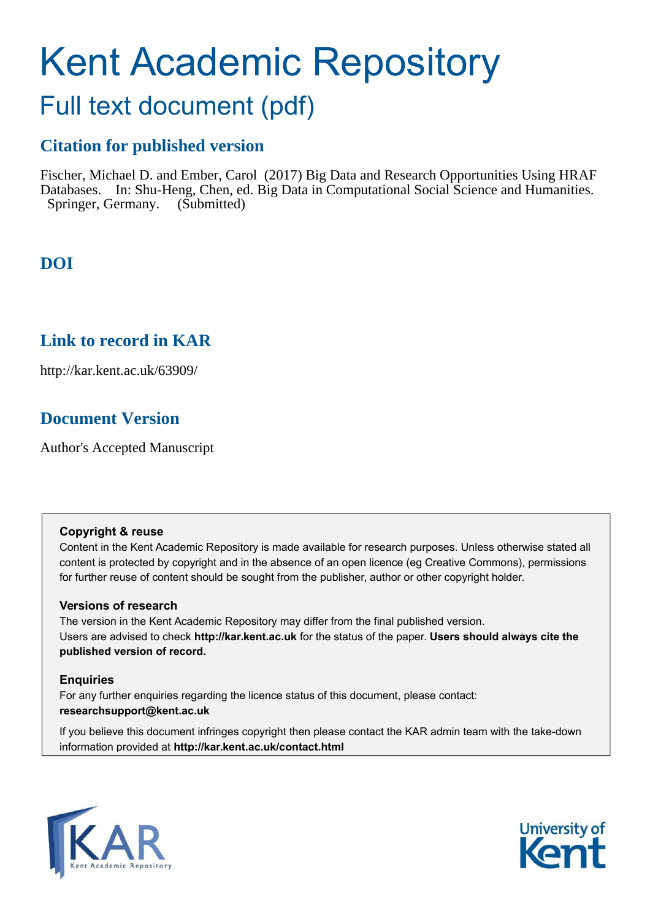# Kent Academic Repository

## Full text document (pdf)

## **Citation for published version**

Fischer, Michael D. and Ember, Carol (2017) Big Data and Research Opportunities Using HRAF Databases. In: Shu-Heng, Chen, ed. Big Data in Computational Social Science and Humanities. Springer, Germany. (Submitted)

## **DOI**

## **Link to record in KAR**

http://kar.kent.ac.uk/63909/

## **Document Version**

Author's Accepted Manuscript

#### **Copyright & reuse**

Content in the Kent Academic Repository is made available for research purposes. Unless otherwise stated all content is protected by copyright and in the absence of an open licence (eg Creative Commons), permissions for further reuse of content should be sought from the publisher, author or other copyright holder.

#### **Versions of research**

The version in the Kent Academic Repository may differ from the final published version. Users are advised to check **http://kar.kent.ac.uk** for the status of the paper. **Users should always cite the published version of record.**

#### **Enquiries**

For any further enquiries regarding the licence status of this document, please contact: **researchsupport@kent.ac.uk**

If you believe this document infringes copyright then please contact the KAR admin team with the take-down information provided at **http://kar.kent.ac.uk/contact.html**



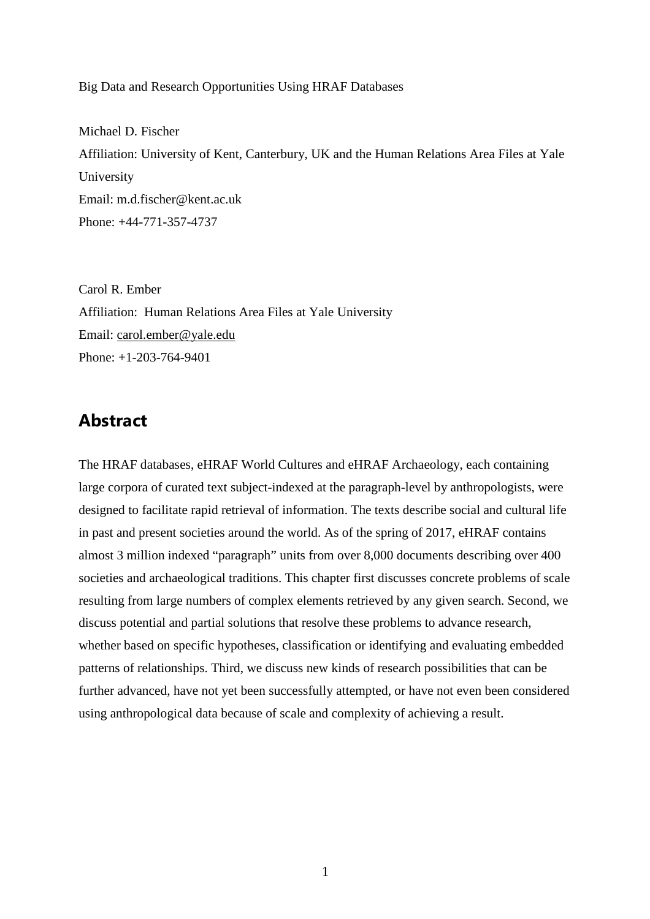Big Data and Research Opportunities Using HRAF Databases

Michael D. Fischer Affiliation: University of Kent, Canterbury, UK and the Human Relations Area Files at Yale University Email: m.d.fischer@kent.ac.uk Phone: +44-771-357-4737

Carol R. Ember Affiliation: Human Relations Area Files at Yale University Email: [carol.ember@yale.edu](mailto:carol.ember@yale.edu) Phone: +1-203-764-9401

#### **Abstract**

The HRAF databases, eHRAF World Cultures and eHRAF Archaeology, each containing large corpora of curated text subject-indexed at the paragraph-level by anthropologists, were designed to facilitate rapid retrieval of information. The texts describe social and cultural life in past and present societies around the world. As of the spring of 2017, eHRAF contains almost 3 million indexed "paragraph" units from over 8,000 documents describing over 400 societies and archaeological traditions. This chapter first discusses concrete problems of scale resulting from large numbers of complex elements retrieved by any given search. Second, we discuss potential and partial solutions that resolve these problems to advance research, whether based on specific hypotheses, classification or identifying and evaluating embedded patterns of relationships. Third, we discuss new kinds of research possibilities that can be further advanced, have not yet been successfully attempted, or have not even been considered using anthropological data because of scale and complexity of achieving a result.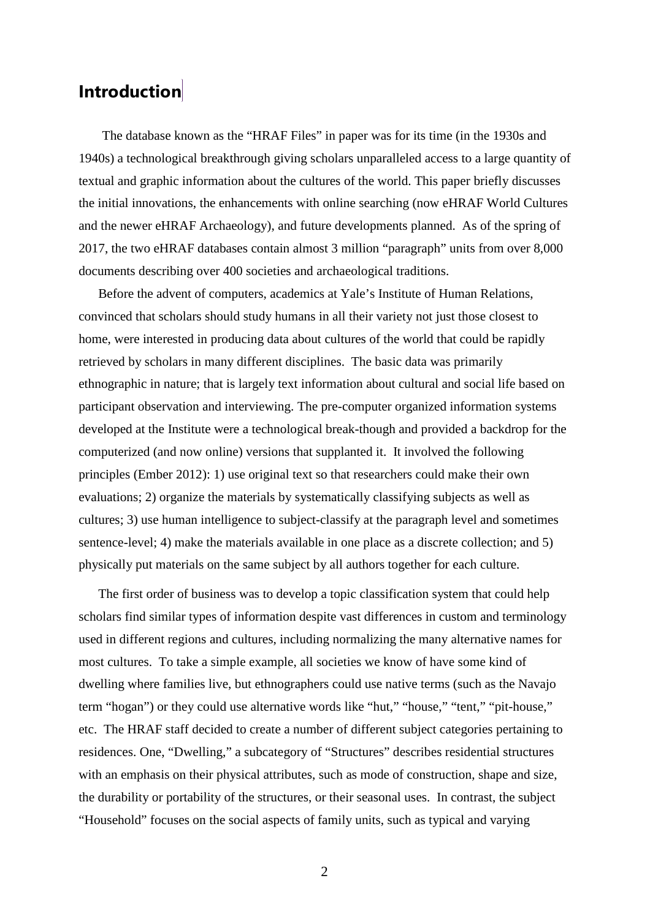## **Introduction**

The database known as the "HRAF Files" in paper was for its time (in the 1930s and 1940s) a technological breakthrough giving scholars unparalleled access to a large quantity of textual and graphic information about the cultures of the world. This paper briefly discusses the initial innovations, the enhancements with online searching (now eHRAF World Cultures and the newer eHRAF Archaeology), and future developments planned. As of the spring of 2017, the two eHRAF databases contain almost 3 million "paragraph" units from over 8,000 documents describing over 400 societies and archaeological traditions.

Before the advent of computers, academics at Yale's Institute of Human Relations, convinced that scholars should study humans in all their variety not just those closest to home, were interested in producing data about cultures of the world that could be rapidly retrieved by scholars in many different disciplines. The basic data was primarily ethnographic in nature; that is largely text information about cultural and social life based on participant observation and interviewing. The pre-computer organized information systems developed at the Institute were a technological break-though and provided a backdrop for the computerized (and now online) versions that supplanted it. It involved the following principles (Ember 2012): 1) use original text so that researchers could make their own evaluations; 2) organize the materials by systematically classifying subjects as well as cultures; 3) use human intelligence to subject-classify at the paragraph level and sometimes sentence-level; 4) make the materials available in one place as a discrete collection; and 5) physically put materials on the same subject by all authors together for each culture.

The first order of business was to develop a topic classification system that could help scholars find similar types of information despite vast differences in custom and terminology used in different regions and cultures, including normalizing the many alternative names for most cultures. To take a simple example, all societies we know of have some kind of dwelling where families live, but ethnographers could use native terms (such as the Navajo term "hogan") or they could use alternative words like "hut," "house," "tent," "pit-house," etc. The HRAF staff decided to create a number of different subject categories pertaining to residences. One, "Dwelling," a subcategory of "Structures" describes residential structures with an emphasis on their physical attributes, such as mode of construction, shape and size, the durability or portability of the structures, or their seasonal uses. In contrast, the subject "Household" focuses on the social aspects of family units, such as typical and varying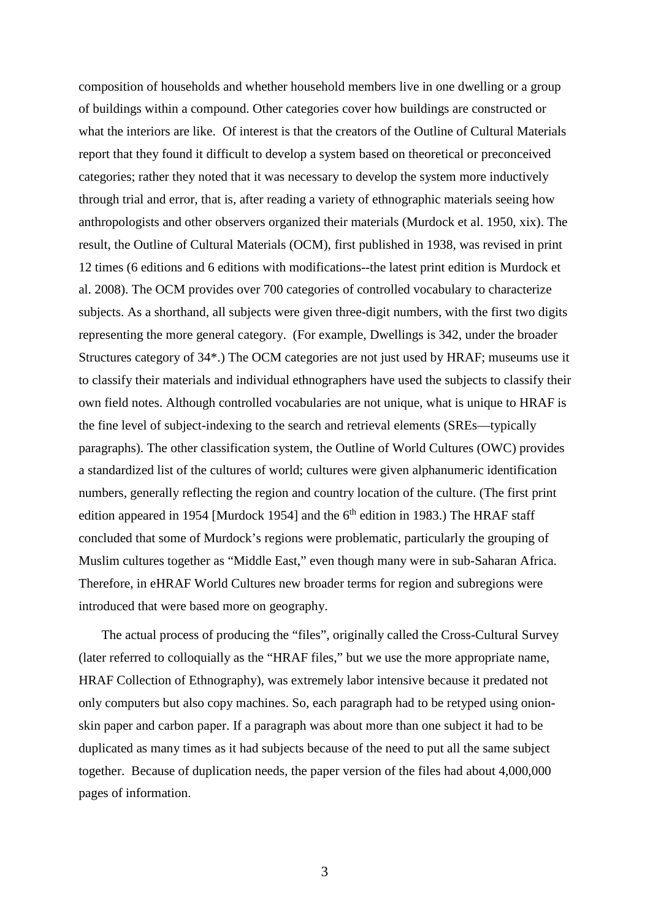composition of households and whether household members live in one dwelling or a group of buildings within a compound. Other categories cover how buildings are constructed or what the interiors are like. Of interest is that the creators of the Outline of Cultural Materials report that they found it difficult to develop a system based on theoretical or preconceived categories; rather they noted that it was necessary to develop the system more inductively through trial and error, that is, after reading a variety of ethnographic materials seeing how anthropologists and other observers organized their materials (Murdock et al. 1950, xix). The result, the Outline of Cultural Materials (OCM), first published in 1938, was revised in print 12 times (6 editions and 6 editions with modifications--the latest print edition is Murdock et al. 2008). The OCM provides over 700 categories of controlled vocabulary to characterize subjects. As a shorthand, all subjects were given three-digit numbers, with the first two digits representing the more general category. (For example, Dwellings is 342, under the broader Structures category of 34\*.) The OCM categories are not just used by HRAF; museums use it to classify their materials and individual ethnographers have used the subjects to classify their own field notes. Although controlled vocabularies are not unique, what is unique to HRAF is the fine level of subject-indexing to the search and retrieval elements (SREs—typically paragraphs). The other classification system, the Outline of World Cultures (OWC) provides a standardized list of the cultures of world; cultures were given alphanumeric identification numbers, generally reflecting the region and country location of the culture. (The first print edition appeared in 1954 [Murdock 1954] and the  $6<sup>th</sup>$  edition in 1983.) The HRAF staff concluded that some of Murdock's regions were problematic, particularly the grouping of Muslim cultures together as "Middle East," even though many were in sub-Saharan Africa. Therefore, in eHRAF World Cultures new broader terms for region and subregions were introduced that were based more on geography.

The actual process of producing the "files", originally called the Cross-Cultural Survey (later referred to colloquially as the "HRAF files," but we use the more appropriate name, HRAF Collection of Ethnography), was extremely labor intensive because it predated not only computers but also copy machines. So, each paragraph had to be retyped using onionskin paper and carbon paper. If a paragraph was about more than one subject it had to be duplicated as many times as it had subjects because of the need to put all the same subject together. Because of duplication needs, the paper version of the files had about 4,000,000 pages of information.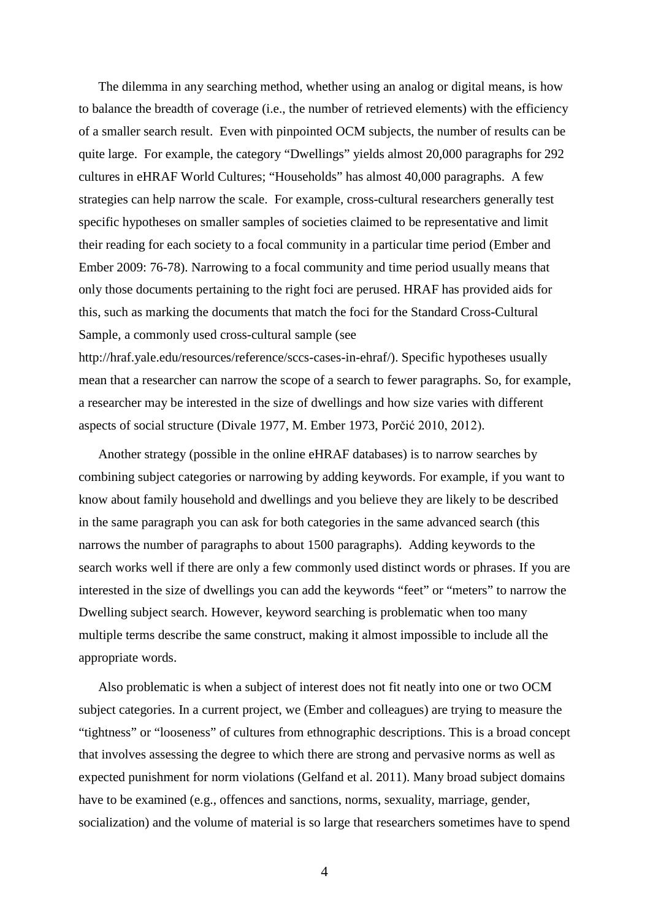The dilemma in any searching method, whether using an analog or digital means, is how to balance the breadth of coverage (i.e., the number of retrieved elements) with the efficiency of a smaller search result. Even with pinpointed OCM subjects, the number of results can be quite large. For example, the category "Dwellings" yields almost 20,000 paragraphs for 292 cultures in eHRAF World Cultures; "Households" has almost 40,000 paragraphs. A few strategies can help narrow the scale. For example, cross-cultural researchers generally test specific hypotheses on smaller samples of societies claimed to be representative and limit their reading for each society to a focal community in a particular time period (Ember and Ember 2009: 76-78). Narrowing to a focal community and time period usually means that only those documents pertaining to the right foci are perused. HRAF has provided aids for this, such as marking the documents that match the foci for the Standard Cross-Cultural Sample, a commonly used cross-cultural sample (see

http://hraf.yale.edu/resources/reference/sccs-cases-in-ehraf/). Specific hypotheses usually mean that a researcher can narrow the scope of a search to fewer paragraphs. So, for example, a researcher may be interested in the size of dwellings and how size varies with different aspects of social structure (Divale 1977, M. Ember 1973, Porčić 2010, 2012).

Another strategy (possible in the online eHRAF databases) is to narrow searches by combining subject categories or narrowing by adding keywords. For example, if you want to know about family household and dwellings and you believe they are likely to be described in the same paragraph you can ask for both categories in the same advanced search (this narrows the number of paragraphs to about 1500 paragraphs). Adding keywords to the search works well if there are only a few commonly used distinct words or phrases. If you are interested in the size of dwellings you can add the keywords "feet" or "meters" to narrow the Dwelling subject search. However, keyword searching is problematic when too many multiple terms describe the same construct, making it almost impossible to include all the appropriate words.

Also problematic is when a subject of interest does not fit neatly into one or two OCM subject categories. In a current project, we (Ember and colleagues) are trying to measure the "tightness" or "looseness" of cultures from ethnographic descriptions. This is a broad concept that involves assessing the degree to which there are strong and pervasive norms as well as expected punishment for norm violations (Gelfand et al. 2011). Many broad subject domains have to be examined (e.g., offences and sanctions, norms, sexuality, marriage, gender, socialization) and the volume of material is so large that researchers sometimes have to spend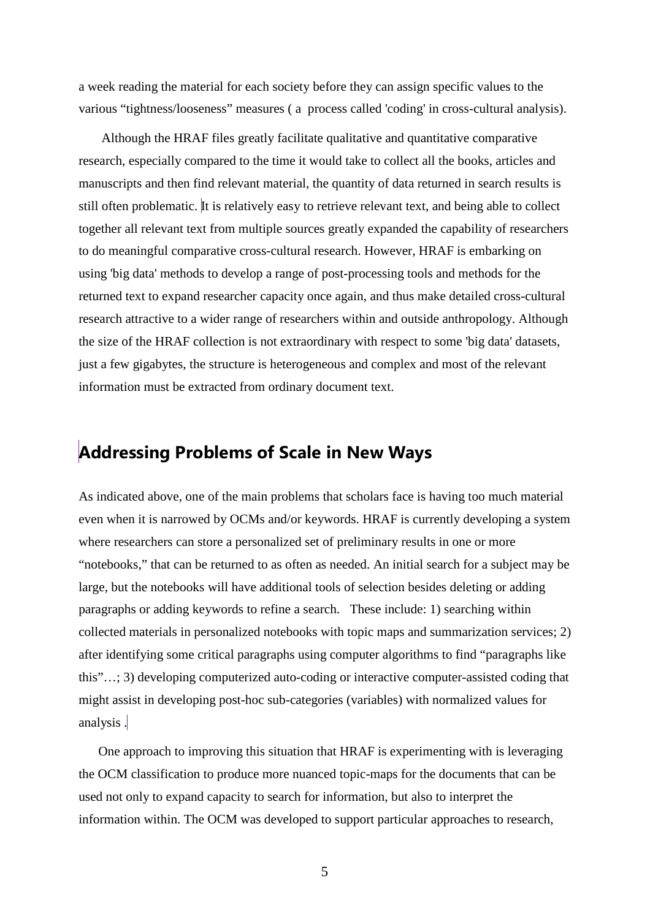a week reading the material for each society before they can assign specific values to the various "tightness/looseness" measures ( a process called 'coding' in cross-cultural analysis).

 Although the HRAF files greatly facilitate qualitative and quantitative comparative research, especially compared to the time it would take to collect all the books, articles and manuscripts and then find relevant material, the quantity of data returned in search results is still often problematic. It is relatively easy to retrieve relevant text, and being able to collect together all relevant text from multiple sources greatly expanded the capability of researchers to do meaningful comparative cross-cultural research. However, HRAF is embarking on using 'big data' methods to develop a range of post-processing tools and methods for the returned text to expand researcher capacity once again, and thus make detailed cross-cultural research attractive to a wider range of researchers within and outside anthropology. Although the size of the HRAF collection is not extraordinary with respect to some 'big data' datasets, just a few gigabytes, the structure is heterogeneous and complex and most of the relevant information must be extracted from ordinary document text.

## **Addressing Problems of Scale in New Ways**

As indicated above, one of the main problems that scholars face is having too much material even when it is narrowed by OCMs and/or keywords. HRAF is currently developing a system where researchers can store a personalized set of preliminary results in one or more "notebooks," that can be returned to as often as needed. An initial search for a subject may be large, but the notebooks will have additional tools of selection besides deleting or adding paragraphs or adding keywords to refine a search. These include: 1) searching within collected materials in personalized notebooks with topic maps and summarization services; 2) after identifying some critical paragraphs using computer algorithms to find "paragraphs like this"…; 3) developing computerized auto-coding or interactive computer-assisted coding that might assist in developing post-hoc sub-categories (variables) with normalized values for analysis .

One approach to improving this situation that HRAF is experimenting with is leveraging the OCM classification to produce more nuanced topic-maps for the documents that can be used not only to expand capacity to search for information, but also to interpret the information within. The OCM was developed to support particular approaches to research,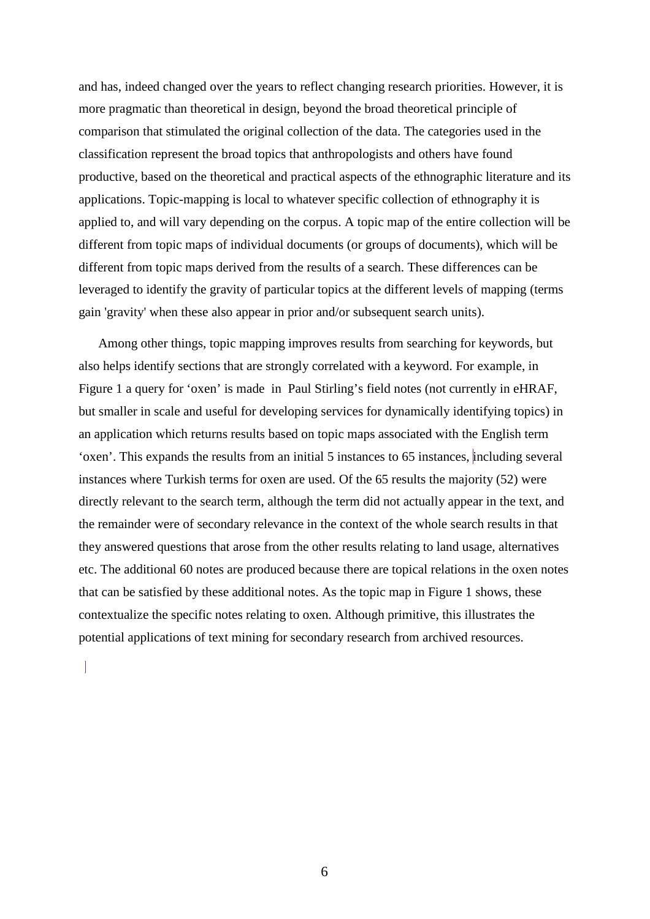and has, indeed changed over the years to reflect changing research priorities. However, it is more pragmatic than theoretical in design, beyond the broad theoretical principle of comparison that stimulated the original collection of the data. The categories used in the classification represent the broad topics that anthropologists and others have found productive, based on the theoretical and practical aspects of the ethnographic literature and its applications. Topic-mapping is local to whatever specific collection of ethnography it is applied to, and will vary depending on the corpus. A topic map of the entire collection will be different from topic maps of individual documents (or groups of documents), which will be different from topic maps derived from the results of a search. These differences can be leveraged to identify the gravity of particular topics at the different levels of mapping (terms gain 'gravity' when these also appear in prior and/or subsequent search units).

Among other things, topic mapping improves results from searching for keywords, but also helps identify sections that are strongly correlated with a keyword. For example, in Figure 1 a query for 'oxen' is made in Paul Stirling's field notes (not currently in eHRAF, but smaller in scale and useful for developing services for dynamically identifying topics) in an application which returns results based on topic maps associated with the English term 'oxen'. This expands the results from an initial 5 instances to 65 instances, including several instances where Turkish terms for oxen are used. Of the 65 results the majority (52) were directly relevant to the search term, although the term did not actually appear in the text, and the remainder were of secondary relevance in the context of the whole search results in that they answered questions that arose from the other results relating to land usage, alternatives etc. The additional 60 notes are produced because there are topical relations in the oxen notes that can be satisfied by these additional notes. As the topic map in Figure 1 shows, these contextualize the specific notes relating to oxen. Although primitive, this illustrates the potential applications of text mining for secondary research from archived resources.

 $\overline{\phantom{a}}$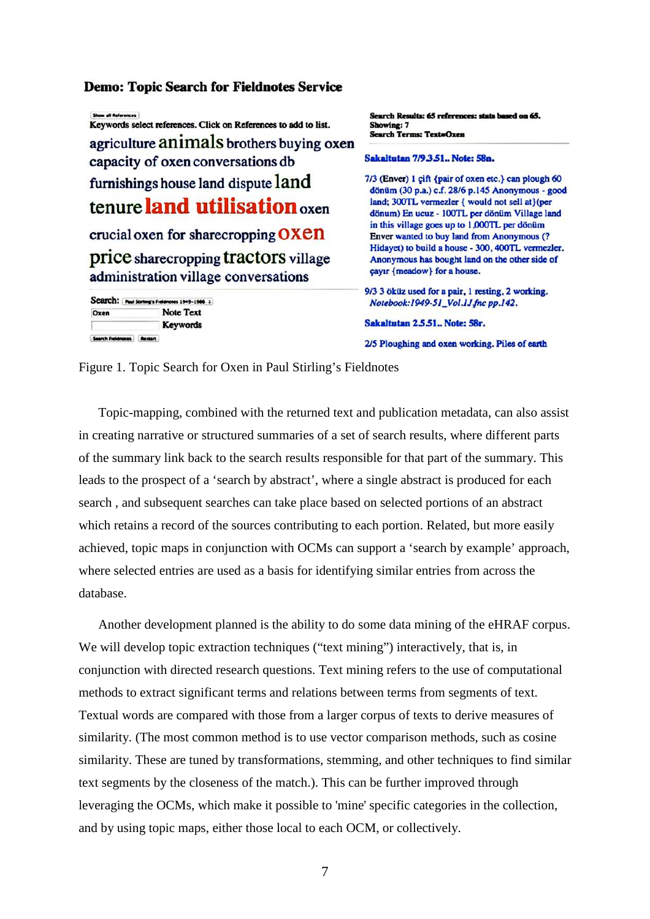#### **Demo: Topic Search for Fieldnotes Service**

Keywords select references. Click on References to add to list. agriculture animals brothers buying oxen capacity of oxen conversations db furnishings house land dispute land tenure land utilisation oxen crucial oxen for sharecropping OXen price sharecropping tractors village administration village conversations Search: Paul Stirling's Fieldnotes 1949-1986 : **Note Text** Oxen

Keywords Search Fieldnotes Restart

Search Results: 65 references: stats based on 65. Showing: 7 Search Terms: Text=Oxen

#### Sakaitutan 7/9.3.51.. Note: 58n.

7/3 (Enver) 1 çift {pair of oxen etc.} can plough 60 dönüm (30 p.a.) c.f. 28/6 p.145 Anonymous - good land; 300TL vermezler { would not sell at}(per dönum) En ucuz - 100TL per dönüm Village land in this village goes up to 1,000TL per dönüm Enver wanted to buy land from Anonymous (? Hidayet) to build a house - 300, 400TL vermezler. Anonymous has bought land on the other side of çayır {meadow} for a house.

9/3 3 öküz used for a pair, 1 resting, 2 working. Notebook:1949-51\_Vol.1J.fnc pp.142.

#### Sakaltutan 2.5.51.. Note: 58r.

2/5 Ploughing and oxen working. Piles of earth

Figure 1. Topic Search for Oxen in Paul Stirling's Fieldnotes

Topic-mapping, combined with the returned text and publication metadata, can also assist in creating narrative or structured summaries of a set of search results, where different parts of the summary link back to the search results responsible for that part of the summary. This leads to the prospect of a 'search by abstract', where a single abstract is produced for each search , and subsequent searches can take place based on selected portions of an abstract which retains a record of the sources contributing to each portion. Related, but more easily achieved, topic maps in conjunction with OCMs can support a 'search by example' approach, where selected entries are used as a basis for identifying similar entries from across the database.

Another development planned is the ability to do some data mining of the eHRAF corpus. We will develop topic extraction techniques ("text mining") interactively, that is, in conjunction with directed research questions. Text mining refers to the use of computational methods to extract significant terms and relations between terms from segments of text. Textual words are compared with those from a larger corpus of texts to derive measures of similarity. (The most common method is to use vector comparison methods, such as cosine similarity. These are tuned by transformations, stemming, and other techniques to find similar text segments by the closeness of the match.). This can be further improved through leveraging the OCMs, which make it possible to 'mine' specific categories in the collection, and by using topic maps, either those local to each OCM, or collectively.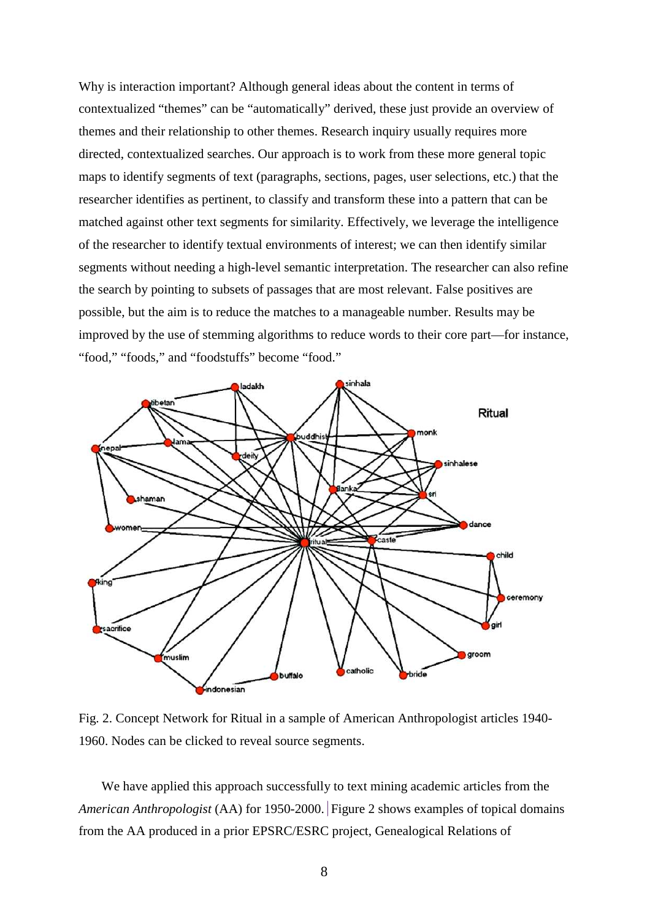Why is interaction important? Although general ideas about the content in terms of contextualized "themes" can be "automatically" derived, these just provide an overview of themes and their relationship to other themes. Research inquiry usually requires more directed, contextualized searches. Our approach is to work from these more general topic maps to identify segments of text (paragraphs, sections, pages, user selections, etc.) that the researcher identifies as pertinent, to classify and transform these into a pattern that can be matched against other text segments for similarity. Effectively, we leverage the intelligence of the researcher to identify textual environments of interest; we can then identify similar segments without needing a high-level semantic interpretation. The researcher can also refine the search by pointing to subsets of passages that are most relevant. False positives are possible, but the aim is to reduce the matches to a manageable number. Results may be improved by the use of stemming algorithms to reduce words to their core part—for instance, "food," "foods," and "foodstuffs" become "food."



Fig. 2. Concept Network for Ritual in a sample of American Anthropologist articles 1940- 1960. Nodes can be clicked to reveal source segments.

We have applied this approach successfully to text mining academic articles from the *American Anthropologist* (AA) for 1950-2000. Figure 2 shows examples of topical domains from the AA produced in a prior EPSRC/ESRC project, Genealogical Relations of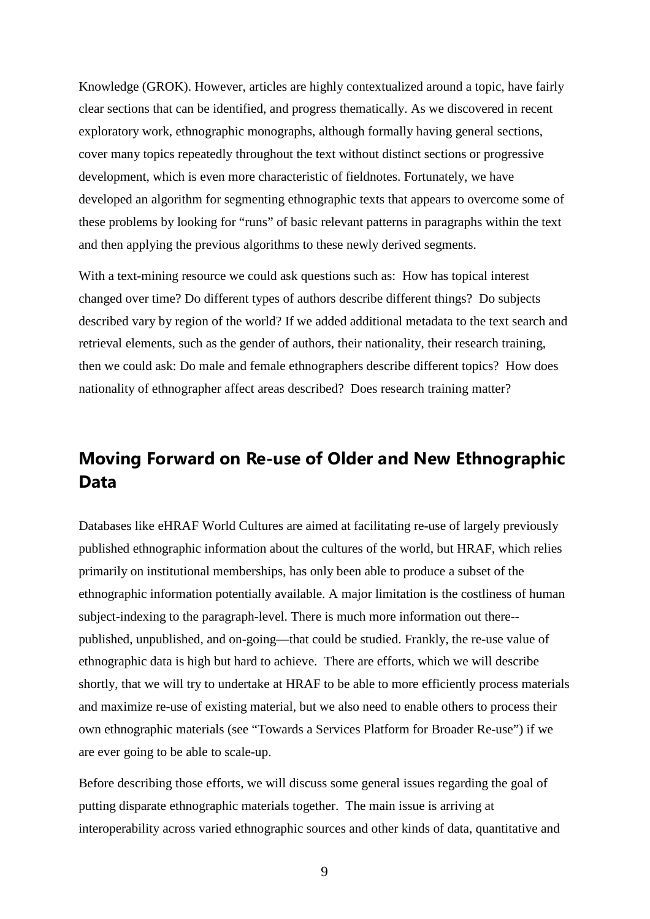Knowledge (GROK). However, articles are highly contextualized around a topic, have fairly clear sections that can be identified, and progress thematically. As we discovered in recent exploratory work, ethnographic monographs, although formally having general sections, cover many topics repeatedly throughout the text without distinct sections or progressive development, which is even more characteristic of fieldnotes. Fortunately, we have developed an algorithm for segmenting ethnographic texts that appears to overcome some of these problems by looking for "runs" of basic relevant patterns in paragraphs within the text and then applying the previous algorithms to these newly derived segments.

With a text-mining resource we could ask questions such as: How has topical interest changed over time? Do different types of authors describe different things? Do subjects described vary by region of the world? If we added additional metadata to the text search and retrieval elements, such as the gender of authors, their nationality, their research training, then we could ask: Do male and female ethnographers describe different topics? How does nationality of ethnographer affect areas described? Does research training matter?

## **Moving Forward on Re-use of Older and New Ethnographic Data**

Databases like eHRAF World Cultures are aimed at facilitating re-use of largely previously published ethnographic information about the cultures of the world, but HRAF, which relies primarily on institutional memberships, has only been able to produce a subset of the ethnographic information potentially available. A major limitation is the costliness of human subject-indexing to the paragraph-level. There is much more information out there- published, unpublished, and on-going—that could be studied. Frankly, the re-use value of ethnographic data is high but hard to achieve. There are efforts, which we will describe shortly, that we will try to undertake at HRAF to be able to more efficiently process materials and maximize re-use of existing material, but we also need to enable others to process their own ethnographic materials (see "Towards a Services Platform for Broader Re-use") if we are ever going to be able to scale-up.

Before describing those efforts, we will discuss some general issues regarding the goal of putting disparate ethnographic materials together. The main issue is arriving at interoperability across varied ethnographic sources and other kinds of data, quantitative and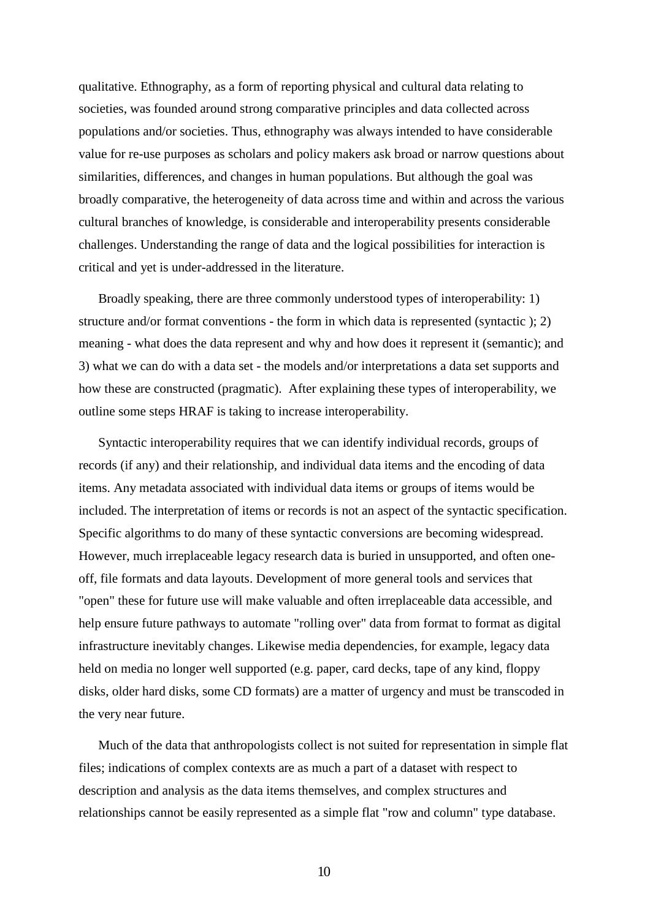qualitative. Ethnography, as a form of reporting physical and cultural data relating to societies, was founded around strong comparative principles and data collected across populations and/or societies. Thus, ethnography was always intended to have considerable value for re-use purposes as scholars and policy makers ask broad or narrow questions about similarities, differences, and changes in human populations. But although the goal was broadly comparative, the heterogeneity of data across time and within and across the various cultural branches of knowledge, is considerable and interoperability presents considerable challenges. Understanding the range of data and the logical possibilities for interaction is critical and yet is under-addressed in the literature.

Broadly speaking, there are three commonly understood types of interoperability: 1) structure and/or format conventions - the form in which data is represented (syntactic ); 2) meaning - what does the data represent and why and how does it represent it (semantic); and 3) what we can do with a data set - the models and/or interpretations a data set supports and how these are constructed (pragmatic). After explaining these types of interoperability, we outline some steps HRAF is taking to increase interoperability.

Syntactic interoperability requires that we can identify individual records, groups of records (if any) and their relationship, and individual data items and the encoding of data items. Any metadata associated with individual data items or groups of items would be included. The interpretation of items or records is not an aspect of the syntactic specification. Specific algorithms to do many of these syntactic conversions are becoming widespread. However, much irreplaceable legacy research data is buried in unsupported, and often oneoff, file formats and data layouts. Development of more general tools and services that "open" these for future use will make valuable and often irreplaceable data accessible, and help ensure future pathways to automate "rolling over" data from format to format as digital infrastructure inevitably changes. Likewise media dependencies, for example, legacy data held on media no longer well supported (e.g. paper, card decks, tape of any kind, floppy disks, older hard disks, some CD formats) are a matter of urgency and must be transcoded in the very near future.

Much of the data that anthropologists collect is not suited for representation in simple flat files; indications of complex contexts are as much a part of a dataset with respect to description and analysis as the data items themselves, and complex structures and relationships cannot be easily represented as a simple flat "row and column" type database.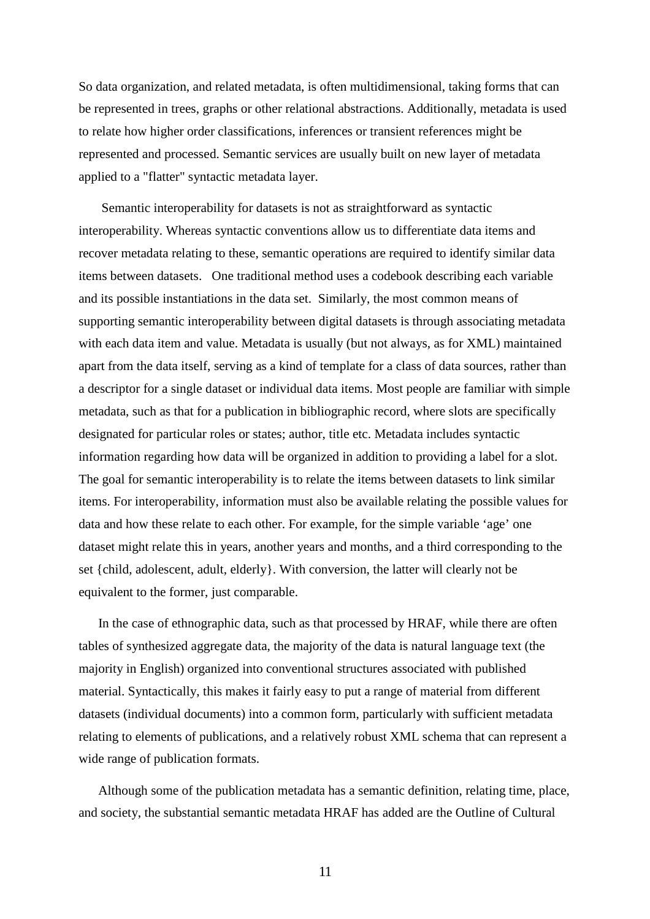So data organization, and related metadata, is often multidimensional, taking forms that can be represented in trees, graphs or other relational abstractions. Additionally, metadata is used to relate how higher order classifications, inferences or transient references might be represented and processed. Semantic services are usually built on new layer of metadata applied to a "flatter" syntactic metadata layer.

Semantic interoperability for datasets is not as straightforward as syntactic interoperability. Whereas syntactic conventions allow us to differentiate data items and recover metadata relating to these, semantic operations are required to identify similar data items between datasets. One traditional method uses a codebook describing each variable and its possible instantiations in the data set. Similarly, the most common means of supporting semantic interoperability between digital datasets is through associating metadata with each data item and value. Metadata is usually (but not always, as for XML) maintained apart from the data itself, serving as a kind of template for a class of data sources, rather than a descriptor for a single dataset or individual data items. Most people are familiar with simple metadata, such as that for a publication in bibliographic record, where slots are specifically designated for particular roles or states; author, title etc. Metadata includes syntactic information regarding how data will be organized in addition to providing a label for a slot. The goal for semantic interoperability is to relate the items between datasets to link similar items. For interoperability, information must also be available relating the possible values for data and how these relate to each other. For example, for the simple variable 'age' one dataset might relate this in years, another years and months, and a third corresponding to the set {child, adolescent, adult, elderly}. With conversion, the latter will clearly not be equivalent to the former, just comparable.

In the case of ethnographic data, such as that processed by HRAF, while there are often tables of synthesized aggregate data, the majority of the data is natural language text (the majority in English) organized into conventional structures associated with published material. Syntactically, this makes it fairly easy to put a range of material from different datasets (individual documents) into a common form, particularly with sufficient metadata relating to elements of publications, and a relatively robust XML schema that can represent a wide range of publication formats.

Although some of the publication metadata has a semantic definition, relating time, place, and society, the substantial semantic metadata HRAF has added are the Outline of Cultural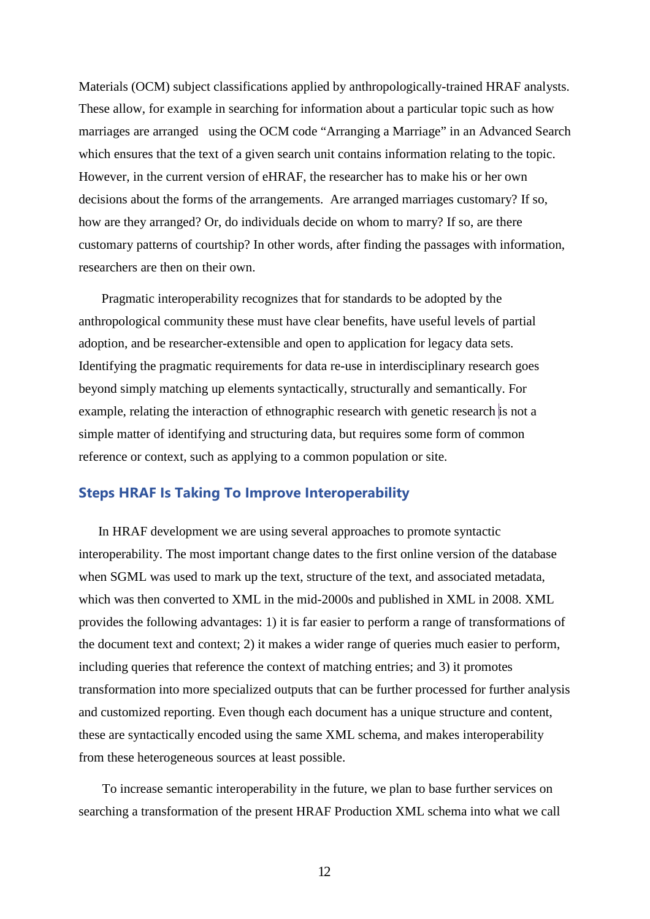Materials (OCM) subject classifications applied by anthropologically-trained HRAF analysts. These allow, for example in searching for information about a particular topic such as how marriages are arranged using the OCM code "Arranging a Marriage" in an Advanced Search which ensures that the text of a given search unit contains information relating to the topic. However, in the current version of eHRAF, the researcher has to make his or her own decisions about the forms of the arrangements. Are arranged marriages customary? If so, how are they arranged? Or, do individuals decide on whom to marry? If so, are there customary patterns of courtship? In other words, after finding the passages with information, researchers are then on their own.

Pragmatic interoperability recognizes that for standards to be adopted by the anthropological community these must have clear benefits, have useful levels of partial adoption, and be researcher-extensible and open to application for legacy data sets. Identifying the pragmatic requirements for data re-use in interdisciplinary research goes beyond simply matching up elements syntactically, structurally and semantically. For example, relating the interaction of ethnographic research with genetic research is not a simple matter of identifying and structuring data, but requires some form of common reference or context, such as applying to a common population or site.

#### **Steps HRAF Is Taking To Improve Interoperability**

In HRAF development we are using several approaches to promote syntactic interoperability. The most important change dates to the first online version of the database when SGML was used to mark up the text, structure of the text, and associated metadata, which was then converted to XML in the mid-2000s and published in XML in 2008. XML provides the following advantages: 1) it is far easier to perform a range of transformations of the document text and context; 2) it makes a wider range of queries much easier to perform, including queries that reference the context of matching entries; and 3) it promotes transformation into more specialized outputs that can be further processed for further analysis and customized reporting. Even though each document has a unique structure and content, these are syntactically encoded using the same XML schema, and makes interoperability from these heterogeneous sources at least possible.

To increase semantic interoperability in the future, we plan to base further services on searching a transformation of the present HRAF Production XML schema into what we call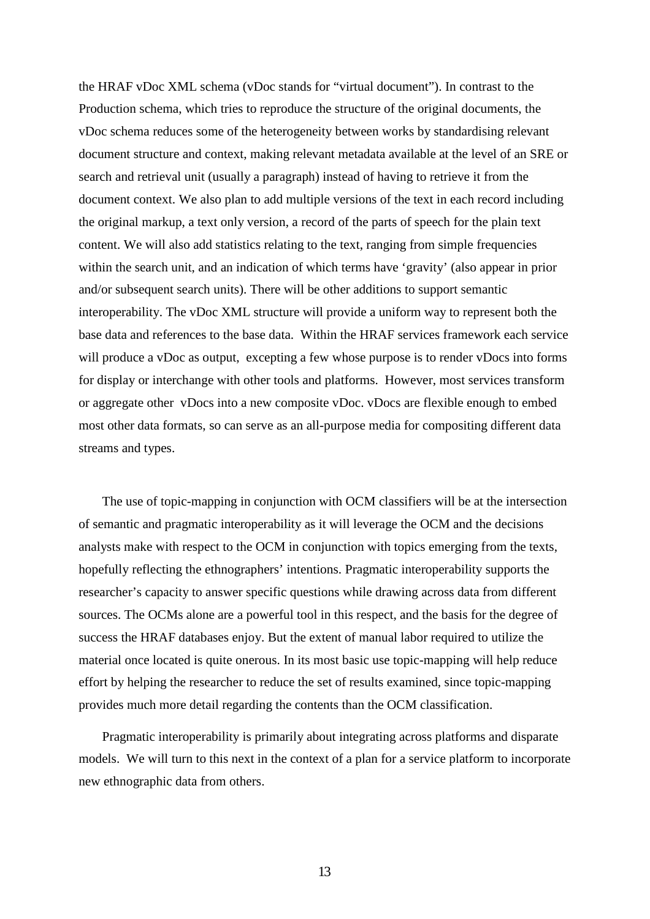the HRAF vDoc XML schema (vDoc stands for "virtual document"). In contrast to the Production schema, which tries to reproduce the structure of the original documents, the vDoc schema reduces some of the heterogeneity between works by standardising relevant document structure and context, making relevant metadata available at the level of an SRE or search and retrieval unit (usually a paragraph) instead of having to retrieve it from the document context. We also plan to add multiple versions of the text in each record including the original markup, a text only version, a record of the parts of speech for the plain text content. We will also add statistics relating to the text, ranging from simple frequencies within the search unit, and an indication of which terms have 'gravity' (also appear in prior and/or subsequent search units). There will be other additions to support semantic interoperability. The vDoc XML structure will provide a uniform way to represent both the base data and references to the base data. Within the HRAF services framework each service will produce a vDoc as output, excepting a few whose purpose is to render vDocs into forms for display or interchange with other tools and platforms. However, most services transform or aggregate other vDocs into a new composite vDoc. vDocs are flexible enough to embed most other data formats, so can serve as an all-purpose media for compositing different data streams and types.

The use of topic-mapping in conjunction with OCM classifiers will be at the intersection of semantic and pragmatic interoperability as it will leverage the OCM and the decisions analysts make with respect to the OCM in conjunction with topics emerging from the texts, hopefully reflecting the ethnographers' intentions. Pragmatic interoperability supports the researcher's capacity to answer specific questions while drawing across data from different sources. The OCMs alone are a powerful tool in this respect, and the basis for the degree of success the HRAF databases enjoy. But the extent of manual labor required to utilize the material once located is quite onerous. In its most basic use topic-mapping will help reduce effort by helping the researcher to reduce the set of results examined, since topic-mapping provides much more detail regarding the contents than the OCM classification.

Pragmatic interoperability is primarily about integrating across platforms and disparate models. We will turn to this next in the context of a plan for a service platform to incorporate new ethnographic data from others.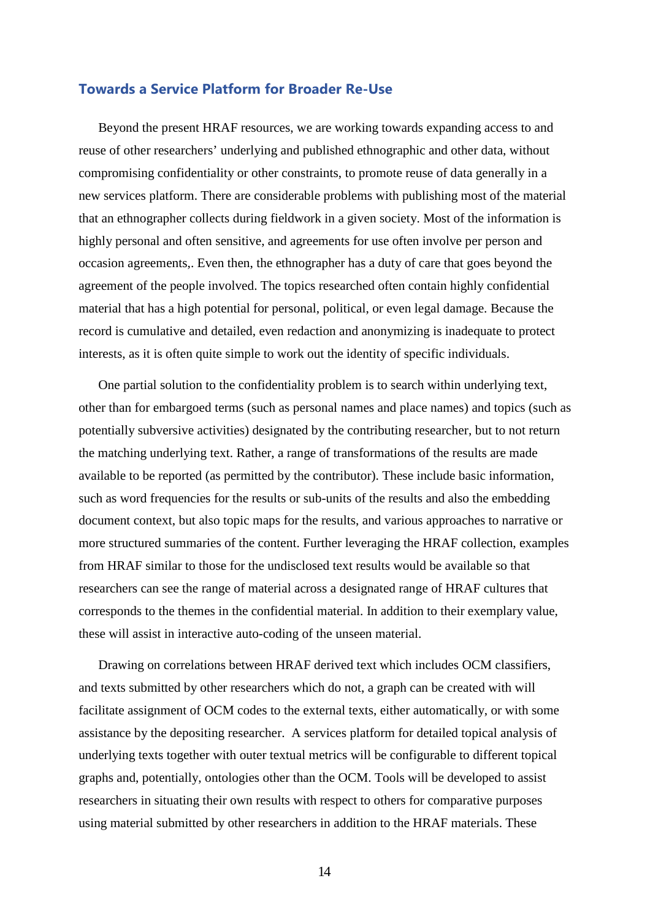#### **Towards a Service Platform for Broader Re-Use**

Beyond the present HRAF resources, we are working towards expanding access to and reuse of other researchers' underlying and published ethnographic and other data, without compromising confidentiality or other constraints, to promote reuse of data generally in a new services platform. There are considerable problems with publishing most of the material that an ethnographer collects during fieldwork in a given society. Most of the information is highly personal and often sensitive, and agreements for use often involve per person and occasion agreements,. Even then, the ethnographer has a duty of care that goes beyond the agreement of the people involved. The topics researched often contain highly confidential material that has a high potential for personal, political, or even legal damage. Because the record is cumulative and detailed, even redaction and anonymizing is inadequate to protect interests, as it is often quite simple to work out the identity of specific individuals.

One partial solution to the confidentiality problem is to search within underlying text, other than for embargoed terms (such as personal names and place names) and topics (such as potentially subversive activities) designated by the contributing researcher, but to not return the matching underlying text. Rather, a range of transformations of the results are made available to be reported (as permitted by the contributor). These include basic information, such as word frequencies for the results or sub-units of the results and also the embedding document context, but also topic maps for the results, and various approaches to narrative or more structured summaries of the content. Further leveraging the HRAF collection, examples from HRAF similar to those for the undisclosed text results would be available so that researchers can see the range of material across a designated range of HRAF cultures that corresponds to the themes in the confidential material. In addition to their exemplary value, these will assist in interactive auto-coding of the unseen material.

Drawing on correlations between HRAF derived text which includes OCM classifiers, and texts submitted by other researchers which do not, a graph can be created with will facilitate assignment of OCM codes to the external texts, either automatically, or with some assistance by the depositing researcher. A services platform for detailed topical analysis of underlying texts together with outer textual metrics will be configurable to different topical graphs and, potentially, ontologies other than the OCM. Tools will be developed to assist researchers in situating their own results with respect to others for comparative purposes using material submitted by other researchers in addition to the HRAF materials. These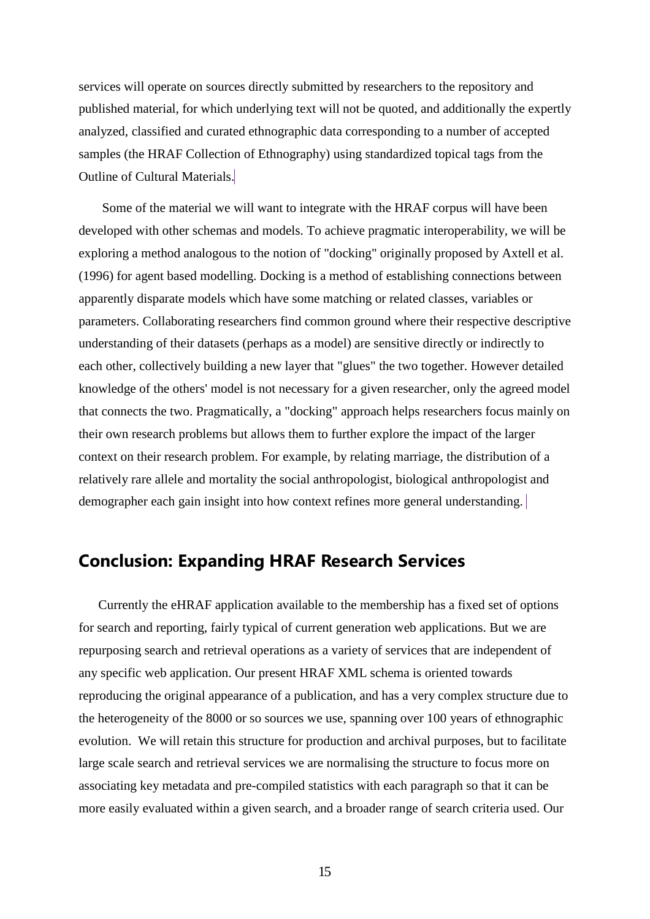services will operate on sources directly submitted by researchers to the repository and published material, for which underlying text will not be quoted, and additionally the expertly analyzed, classified and curated ethnographic data corresponding to a number of accepted samples (the HRAF Collection of Ethnography) using standardized topical tags from the Outline of Cultural Materials.

Some of the material we will want to integrate with the HRAF corpus will have been developed with other schemas and models. To achieve pragmatic interoperability, we will be exploring a method analogous to the notion of "docking" originally proposed by Axtell et al. (1996) for agent based modelling. Docking is a method of establishing connections between apparently disparate models which have some matching or related classes, variables or parameters. Collaborating researchers find common ground where their respective descriptive understanding of their datasets (perhaps as a model) are sensitive directly or indirectly to each other, collectively building a new layer that "glues" the two together. However detailed knowledge of the others' model is not necessary for a given researcher, only the agreed model that connects the two. Pragmatically, a "docking" approach helps researchers focus mainly on their own research problems but allows them to further explore the impact of the larger context on their research problem. For example, by relating marriage, the distribution of a relatively rare allele and mortality the social anthropologist, biological anthropologist and demographer each gain insight into how context refines more general understanding.

### **Conclusion: Expanding HRAF Research Services**

Currently the eHRAF application available to the membership has a fixed set of options for search and reporting, fairly typical of current generation web applications. But we are repurposing search and retrieval operations as a variety of services that are independent of any specific web application. Our present HRAF XML schema is oriented towards reproducing the original appearance of a publication, and has a very complex structure due to the heterogeneity of the 8000 or so sources we use, spanning over 100 years of ethnographic evolution. We will retain this structure for production and archival purposes, but to facilitate large scale search and retrieval services we are normalising the structure to focus more on associating key metadata and pre-compiled statistics with each paragraph so that it can be more easily evaluated within a given search, and a broader range of search criteria used. Our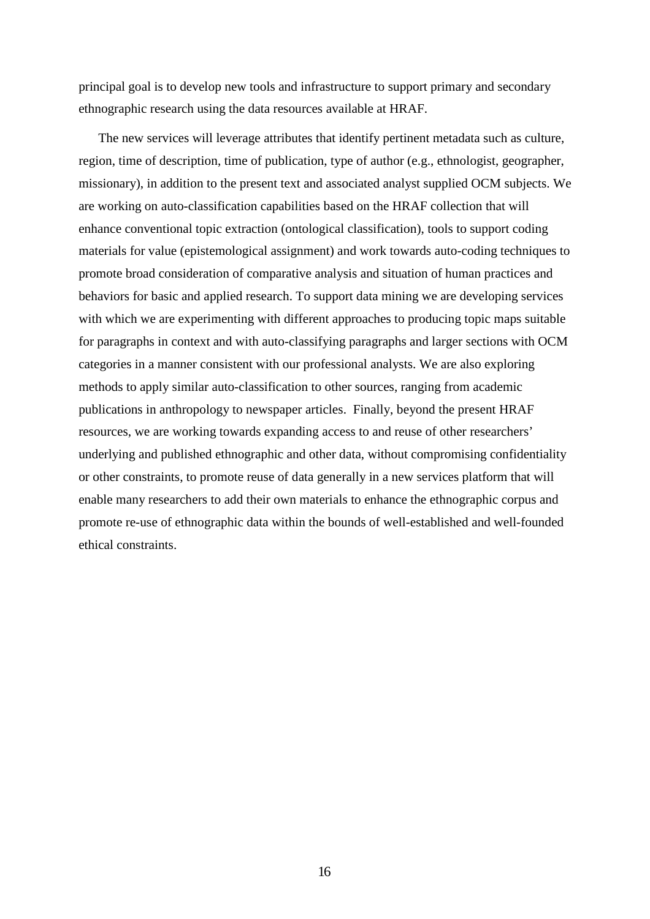principal goal is to develop new tools and infrastructure to support primary and secondary ethnographic research using the data resources available at HRAF.

The new services will leverage attributes that identify pertinent metadata such as culture, region, time of description, time of publication, type of author (e.g., ethnologist, geographer, missionary), in addition to the present text and associated analyst supplied OCM subjects. We are working on auto-classification capabilities based on the HRAF collection that will enhance conventional topic extraction (ontological classification), tools to support coding materials for value (epistemological assignment) and work towards auto-coding techniques to promote broad consideration of comparative analysis and situation of human practices and behaviors for basic and applied research. To support data mining we are developing services with which we are experimenting with different approaches to producing topic maps suitable for paragraphs in context and with auto-classifying paragraphs and larger sections with OCM categories in a manner consistent with our professional analysts. We are also exploring methods to apply similar auto-classification to other sources, ranging from academic publications in anthropology to newspaper articles. Finally, beyond the present HRAF resources, we are working towards expanding access to and reuse of other researchers' underlying and published ethnographic and other data, without compromising confidentiality or other constraints, to promote reuse of data generally in a new services platform that will enable many researchers to add their own materials to enhance the ethnographic corpus and promote re-use of ethnographic data within the bounds of well-established and well-founded ethical constraints.